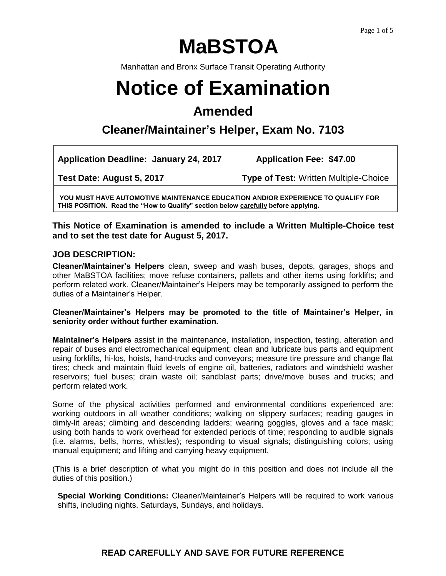# **MaBSTOA**

Manhattan and Bronx Surface Transit Operating Authority

# **Notice of Examination**

# **Amended**

# **Cleaner/Maintainer's Helper, Exam No. 7103**

**Application Deadline: January 24, 2017 Application Fee: \$47.00**

**Test Date: August 5, 2017 Type of Test:** Written Multiple-Choice

**YOU MUST HAVE AUTOMOTIVE MAINTENANCE EDUCATION AND/OR EXPERIENCE TO QUALIFY FOR THIS POSITION. Read the "How to Qualify" section below carefully before applying.**

# **This Notice of Examination is amended to include a Written Multiple-Choice test and to set the test date for August 5, 2017.**

### **JOB DESCRIPTION:**

**Cleaner/Maintainer's Helpers** clean, sweep and wash buses, depots, garages, shops and other MaBSTOA facilities; move refuse containers, pallets and other items using forklifts; and perform related work. Cleaner/Maintainer's Helpers may be temporarily assigned to perform the duties of a Maintainer's Helper.

#### **Cleaner/Maintainer's Helpers may be promoted to the title of Maintainer's Helper, in seniority order without further examination.**

**Maintainer's Helpers** assist in the maintenance, installation, inspection, testing, alteration and repair of buses and electromechanical equipment; clean and lubricate bus parts and equipment using forklifts, hi-los, hoists, hand-trucks and conveyors; measure tire pressure and change flat tires; check and maintain fluid levels of engine oil, batteries, radiators and windshield washer reservoirs; fuel buses; drain waste oil; sandblast parts; drive/move buses and trucks; and perform related work.

Some of the physical activities performed and environmental conditions experienced are: working outdoors in all weather conditions; walking on slippery surfaces; reading gauges in dimly-lit areas; climbing and descending ladders; wearing goggles, gloves and a face mask; using both hands to work overhead for extended periods of time; responding to audible signals (i.e. alarms, bells, horns, whistles); responding to visual signals; distinguishing colors; using manual equipment; and lifting and carrying heavy equipment.

(This is a brief description of what you might do in this position and does not include all the duties of this position.)

**Special Working Conditions:** Cleaner/Maintainer's Helpers will be required to work various shifts, including nights, Saturdays, Sundays, and holidays.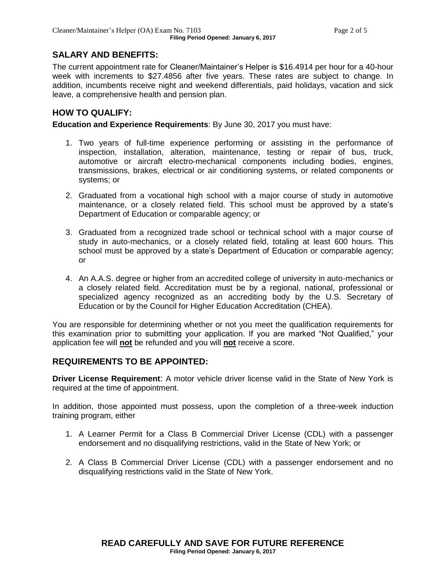# **SALARY AND BENEFITS:**

The current appointment rate for Cleaner/Maintainer's Helper is \$16.4914 per hour for a 40-hour week with increments to \$27.4856 after five years. These rates are subject to change. In addition, incumbents receive night and weekend differentials, paid holidays, vacation and sick leave, a comprehensive health and pension plan.

# **HOW TO QUALIFY:**

**Education and Experience Requirements**: By June 30, 2017 you must have:

- 1. Two years of full-time experience performing or assisting in the performance of inspection, installation, alteration, maintenance, testing or repair of bus, truck, automotive or aircraft electro-mechanical components including bodies, engines, transmissions, brakes, electrical or air conditioning systems, or related components or systems; or
- 2. Graduated from a vocational high school with a major course of study in automotive maintenance, or a closely related field. This school must be approved by a state's Department of Education or comparable agency; or
- 3. Graduated from a recognized trade school or technical school with a major course of study in auto-mechanics, or a closely related field, totaling at least 600 hours. This school must be approved by a state's Department of Education or comparable agency; or
- 4. An A.A.S. degree or higher from an accredited college of university in auto-mechanics or a closely related field. Accreditation must be by a regional, national, professional or specialized agency recognized as an accrediting body by the U.S. Secretary of Education or by the Council for Higher Education Accreditation (CHEA).

You are responsible for determining whether or not you meet the qualification requirements for this examination prior to submitting your application. If you are marked "Not Qualified," your application fee will **not** be refunded and you will **not** receive a score.

#### **REQUIREMENTS TO BE APPOINTED:**

**Driver License Requirement**: A motor vehicle driver license valid in the State of New York is required at the time of appointment.

In addition, those appointed must possess, upon the completion of a three-week induction training program, either

- 1. A Learner Permit for a Class B Commercial Driver License (CDL) with a passenger endorsement and no disqualifying restrictions, valid in the State of New York; or
- 2. A Class B Commercial Driver License (CDL) with a passenger endorsement and no disqualifying restrictions valid in the State of New York.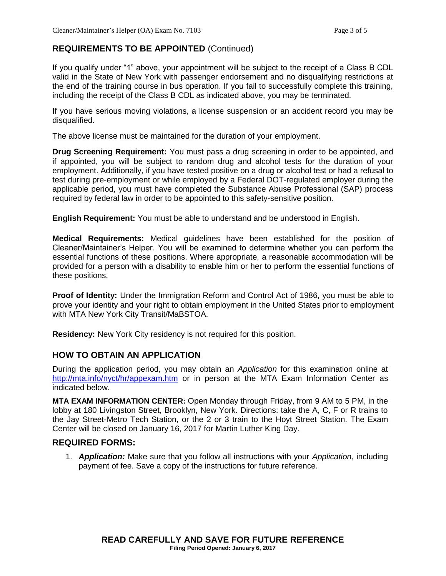# **REQUIREMENTS TO BE APPOINTED** (Continued)

If you qualify under "1" above, your appointment will be subject to the receipt of a Class B CDL valid in the State of New York with passenger endorsement and no disqualifying restrictions at the end of the training course in bus operation. If you fail to successfully complete this training, including the receipt of the Class B CDL as indicated above, you may be terminated.

If you have serious moving violations, a license suspension or an accident record you may be disqualified.

The above license must be maintained for the duration of your employment.

**Drug Screening Requirement:** You must pass a drug screening in order to be appointed, and if appointed, you will be subject to random drug and alcohol tests for the duration of your employment. Additionally, if you have tested positive on a drug or alcohol test or had a refusal to test during pre-employment or while employed by a Federal DOT-regulated employer during the applicable period, you must have completed the Substance Abuse Professional (SAP) process required by federal law in order to be appointed to this safety-sensitive position.

**English Requirement:** You must be able to understand and be understood in English.

**Medical Requirements:** Medical guidelines have been established for the position of Cleaner/Maintainer's Helper. You will be examined to determine whether you can perform the essential functions of these positions. Where appropriate, a reasonable accommodation will be provided for a person with a disability to enable him or her to perform the essential functions of these positions.

**Proof of Identity:** Under the Immigration Reform and Control Act of 1986, you must be able to prove your identity and your right to obtain employment in the United States prior to employment with MTA New York City Transit/MaBSTOA.

**Residency:** New York City residency is not required for this position.

# **HOW TO OBTAIN AN APPLICATION**

During the application period, you may obtain an *Application* for this examination online at <http://mta.info/nyct/hr/appexam.htm> or in person at the MTA Exam Information Center as indicated below.

**MTA EXAM INFORMATION CENTER:** Open Monday through Friday, from 9 AM to 5 PM, in the lobby at 180 Livingston Street, Brooklyn, New York. Directions: take the A, C, F or R trains to the Jay Street-Metro Tech Station, or the 2 or 3 train to the Hoyt Street Station. The Exam Center will be closed on January 16, 2017 for Martin Luther King Day.

#### **REQUIRED FORMS:**

1. *Application:* Make sure that you follow all instructions with your *Application*, including payment of fee. Save a copy of the instructions for future reference.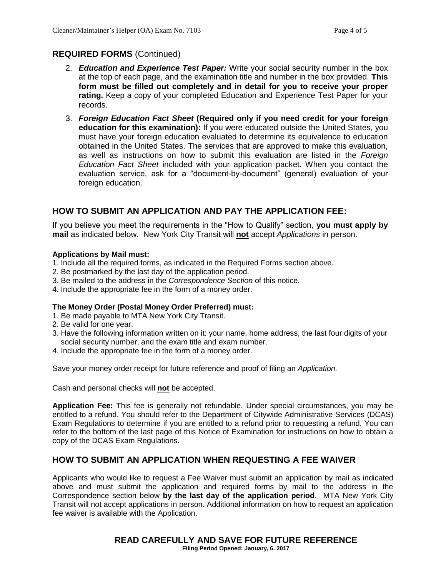# **REQUIRED FORMS** (Continued)

- 2. *Education and Experience Test Paper:* Write your social security number in the box at the top of each page, and the examination title and number in the box provided. **This form must be filled out completely and in detail for you to receive your proper rating.** Keep a copy of your completed Education and Experience Test Paper for your records.
- 3. *Foreign Education Fact Sheet* **(Required only if you need credit for your foreign education for this examination):** If you were educated outside the United States, you must have your foreign education evaluated to determine its equivalence to education obtained in the United States. The services that are approved to make this evaluation, as well as instructions on how to submit this evaluation are listed in the *Foreign Education Fact Sheet* included with your application packet. When you contact the evaluation service, ask for a "document-by-document" (general) evaluation of your foreign education.

# **HOW TO SUBMIT AN APPLICATION AND PAY THE APPLICATION FEE:**

If you believe you meet the requirements in the "How to Qualify" section, **you must apply by mail** as indicated below. New York City Transit will **not** accept *Applications* in person.

#### **Applications by Mail must:**

- 1. Include all the required forms, as indicated in the Required Forms section above.
- 2. Be postmarked by the last day of the application period.
- 3. Be mailed to the address in the *Correspondence Section* of this notice.
- 4. Include the appropriate fee in the form of a money order.

#### **The Money Order (Postal Money Order Preferred) must:**

- 1. Be made payable to MTA New York City Transit.
- 2. Be valid for one year.
- 3. Have the following information written on it: your name, home address, the last four digits of your social security number, and the exam title and exam number.
- 4. Include the appropriate fee in the form of a money order.

Save your money order receipt for future reference and proof of filing an *Application.*

Cash and personal checks will **not** be accepted.

**Application Fee:** This fee is generally not refundable. Under special circumstances, you may be entitled to a refund. You should refer to the Department of Citywide Administrative Services (DCAS) Exam Regulations to determine if you are entitled to a refund prior to requesting a refund. You can refer to the bottom of the last page of this Notice of Examination for instructions on how to obtain a copy of the DCAS Exam Regulations.

#### **HOW TO SUBMIT AN APPLICATION WHEN REQUESTING A FEE WAIVER**

Applicants who would like to request a Fee Waiver must submit an application by mail as indicated above and must submit the application and required forms by mail to the address in the Correspondence section below **by the last day of the application period**. MTA New York City Transit will not accept applications in person. Additional information on how to request an application fee waiver is available with the Application.